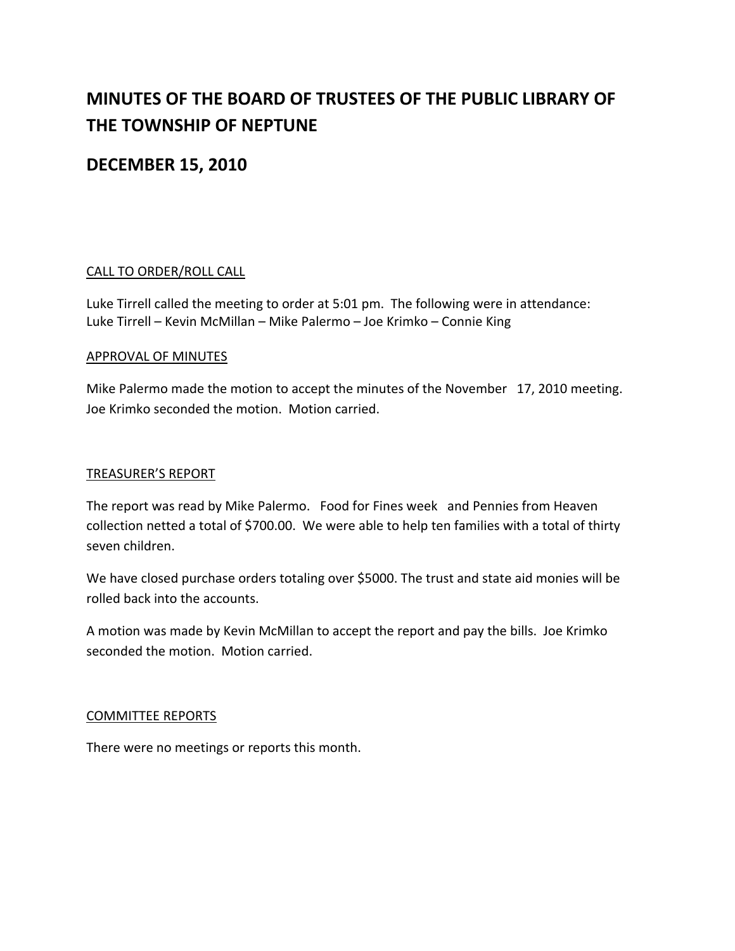# **MINUTES OF THE BOARD OF TRUSTEES OF THE PUBLIC LIBRARY OF THE TOWNSHIP OF NEPTUNE**

# **DECEMBER 15, 2010**

# CALL TO ORDER/ROLL CALL

Luke Tirrell called the meeting to order at 5:01 pm. The following were in attendance: Luke Tirrell – Kevin McMillan – Mike Palermo – Joe Krimko – Connie King

# APPROVAL OF MINUTES

Mike Palermo made the motion to accept the minutes of the November 17, 2010 meeting. Joe Krimko seconded the motion. Motion carried.

#### TREASURER'S REPORT

The report was read by Mike Palermo. Food for Fines week and Pennies from Heaven collection netted a total of \$700.00. We were able to help ten families with a total of thirty seven children.

We have closed purchase orders totaling over \$5000. The trust and state aid monies will be rolled back into the accounts.

A motion was made by Kevin McMillan to accept the report and pay the bills. Joe Krimko seconded the motion. Motion carried.

# COMMITTEE REPORTS

There were no meetings or reports this month.